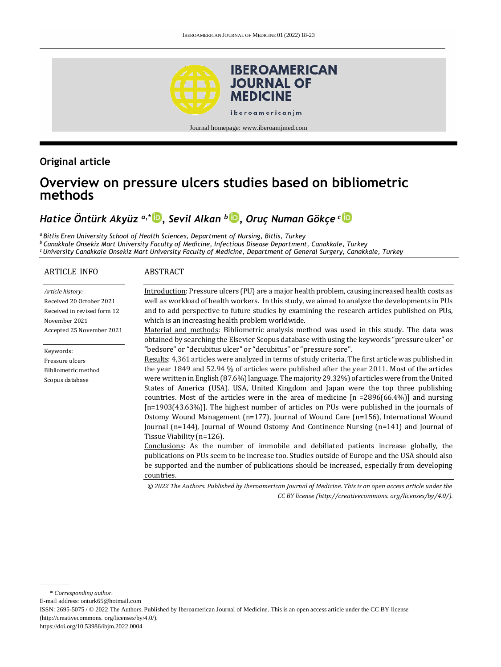

Journal homepage: [www.iberoamjmed.com](file:///C:/Users/EDUARDO/Desktop/REVISTA/Iberoamerican%20Journal%20of%20Medicine/Issues/Formato%20artículos/Bilingüe/www.iberoamjmed.com)

## **Original article**

# **Overview on pressure ulcers studies based on bibliometric methods**

## *Hatice Öntürk Akyüz a,\* [,](http://orcid.org/0000-0002-6206-2616) Sevil Alkan <sup>b</sup> [,](http://orcid.org/0000-0003-1944-2477) Oruç Numan Gökçe <sup>c</sup>*

*<sup>a</sup>Bitlis Eren University School of Health Sciences, Department of Nursing, Bitlis, Turkey <sup>b</sup>Canakkale Onsekiz Mart University Faculty of Medicine, Infectious Disease Department, Canakkale, Turkey <sup>c</sup>University Canakkale Onsekiz Mart University Faculty of Medicine, Department of General Surgery, Canakkale, Turkey*

#### ARTICLE INFO *Article history:* Received 20 October 2021 Received in revised form 12 November 2021 Accepted 25 November 2021 Keywords: Pressure ulcers Bibliometric method Scopus database ABSTRACT Introduction: Pressure ulcers (PU) are a major health problem, causing increased health costs as well as workload of health workers. In this study, we aimed to analyze the developments in PUs and to add perspective to future studies by examining the research articles published on PUs, which is an increasing health problem worldwide. Material and methods: Bibliometric analysis method was used in this study. The data was obtained by searching the Elsevier Scopus database with using the keywords "pressure ulcer" or "bedsore" or "decubitus ulcer" or "decubitus" or "pressure sore". Results: 4,361 articles were analyzed in terms of study criteria. The first article was published in the year 1849 and 52.94 % of articles were published after the year 2011. Most of the articles were written in English (87.6%) language. The majority 29.32%) of articles were from the United States of America (USA). USA, United Kingdom and Japan were the top three publishing countries. Most of the articles were in the area of medicine  $[n = 2896(66.4\%)]$  and nursing [n=1903(43.63%)]. The highest number of articles on PUs were published in the journals of Ostomy Wound Management (n=177), Journal of Wound Care (n=156), International Wound Journal (n=144), Journal of Wound Ostomy And Continence Nursing (n=141) and Journal of Tissue Viability (n=126). Conclusions: As the number of immobile and debiliated patients increase globally, the publications on PUs seem to be increase too. Studies outside of Europe and the USA should also be supported and the number of publications should be increased, especially from developing countries. *© 2022 The Authors. Published by Iberoamerican Journal of Medicine. This is an open access article under the CC BY license (http:/[/creativecommons. org/licenses/by/4.0/\)](https://creativecommons.org/licenses/by/4.0/).*

\* *Corresponding author.*

E-mail address: [onturk65@hotmail.com](mailto:onturk65@hotmail.com)

ISSN: 2695-5075 / © 2022 The Authors. Published by Iberoamerican Journal of Medicine. This is an open access article under the CC BY license (http:/[/creativecommons. org/licenses/by/4.0/\).](https://creativecommons.org/licenses/by/4.0/)

<https://doi.org/10.53986/ibjm.2022.0004>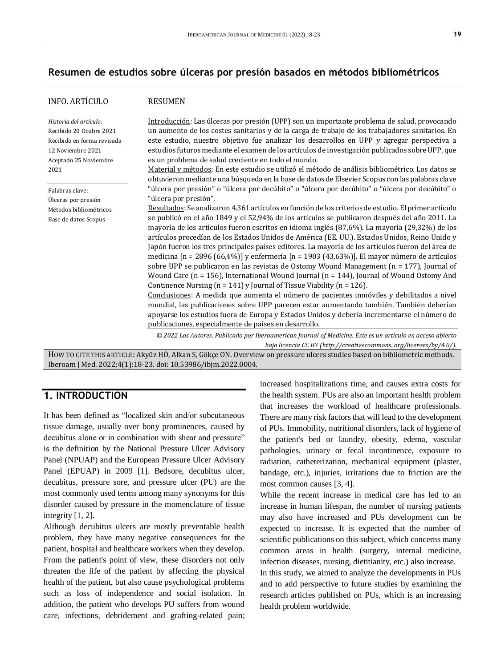### **Resumen de estudios sobre úlceras por presión basados en métodos bibliométricos**

| INFO. ARTÍCULO                                                                                                                        | <b>RESUMEN</b>                                                                                                                                                                                                                                                                                                                                                                                                                                                                                                                                                                                                                                                                                                                                                                                                                                                                                                                                                                                                                                                                                                                  |
|---------------------------------------------------------------------------------------------------------------------------------------|---------------------------------------------------------------------------------------------------------------------------------------------------------------------------------------------------------------------------------------------------------------------------------------------------------------------------------------------------------------------------------------------------------------------------------------------------------------------------------------------------------------------------------------------------------------------------------------------------------------------------------------------------------------------------------------------------------------------------------------------------------------------------------------------------------------------------------------------------------------------------------------------------------------------------------------------------------------------------------------------------------------------------------------------------------------------------------------------------------------------------------|
| Historia del artículo:<br>Recibido 20 Ocubre 2021<br>Recibido en forma revisada<br>12 Noviembre 2021<br>Aceptado 25 Noviembre<br>2021 | Introducción: Las úlceras por presión (UPP) son un importante problema de salud, provocando<br>un aumento de los costes sanitarios y de la carga de trabajo de los trabajadores sanitarios. En<br>este estudio, nuestro objetivo fue analizar los desarrollos en UPP y agregar perspectiva a<br>estudios futuros mediante el examen de los artículos de investigación publicados sobre UPP, que<br>es un problema de salud creciente en todo el mundo.<br>Material y métodos: En este estudio se utilizó el método de análisis bibliométrico. Los datos se                                                                                                                                                                                                                                                                                                                                                                                                                                                                                                                                                                      |
| Palabras clave:<br>Úlceras por presión                                                                                                | obtuvieron mediante una búsqueda en la base de datos de Elsevier Scopus con las palabras clave<br>"úlcera por presión" o "úlcera por decúbito" o "úlcera por decúbito" o "úlcera por decúbito" o<br>"úlcera por presión".<br>Resultados: Se analizaron 4.361 artículos en función de los criterios de estudio. El primer artículo                                                                                                                                                                                                                                                                                                                                                                                                                                                                                                                                                                                                                                                                                                                                                                                               |
| Métodos bibliométricos<br>Base de datos Scopus                                                                                        | se publicó en el año 1849 y el 52,94% de los artículos se publicaron después del año 2011. La<br>mayoría de los artículos fueron escritos en idioma inglés (87,6%). La mayoría (29,32%) de los<br>artículos procedían de los Estados Unidos de América (EE. UU.). Estados Unidos, Reino Unido y<br>Japón fueron los tres principales países editores. La mayoría de los artículos fueron del área de<br>medicina [n = 2896 (66,4%)] y enfermería [n = 1903 (43,63%)]. El mayor número de artículos<br>sobre UPP se publicaron en las revistas de Ostomy Wound Management ( $n = 177$ ), Journal of<br>Wound Care (n = 156), International Wound Journal (n = 144), Journal of Wound Ostomy And<br>Continence Nursing ( $n = 141$ ) y Journal of Tissue Viability ( $n = 126$ ).<br>Conclusiones: A medida que aumenta el número de pacientes inmóviles y debilitados a nivel<br>mundial, las publicaciones sobre UPP parecen estar aumentando también. También deberían<br>apoyarse los estudios fuera de Europa y Estados Unidos y debería incrementarse el número de<br>publicaciones, especialmente de países en desarrollo. |
|                                                                                                                                       | © 2022 Los Autores. Publicado por Iberoamerican Journal of Medicine. Éste es un artículo en acceso abierto                                                                                                                                                                                                                                                                                                                                                                                                                                                                                                                                                                                                                                                                                                                                                                                                                                                                                                                                                                                                                      |
|                                                                                                                                       | bajo licencia CC BY (http://creativecommons. org/licenses/by/4.0/).<br>How no currentic approi r. Alexie UÖ, Allega C. Cilega ON, Overview on nuggung ulgave studies haged an hibliometric methods                                                                                                                                                                                                                                                                                                                                                                                                                                                                                                                                                                                                                                                                                                                                                                                                                                                                                                                              |

HOW TO CITE THIS ARTICLE: Akyüz HÖ, Alkan S, Gökçe ON. Overview on pressure ulcers studies based on bibliometric methods. Iberoam J Med. 2022;4(1):18-23. doi[: 10.53986/ibjm.2022.0004.](https://doi.org/10.53986/ibjm.2022.0004)

## **1. INTRODUCTION**

It has been defined as "localized skin and/or subcutaneous tissue damage, usually over bony prominences, caused by decubitus alone or in combination with shear and pressure" is the definition by the National Pressure Ulcer Advisory Panel (NPUAP) and the European Pressure Ulcer Advisory Panel (EPUAP) in 2009 [1]. Bedsore, decubitus ulcer, decubitus, pressure sore, and pressure ulcer (PU) are the most commonly used terms among many synonyms for this disorder caused by pressure in the momenclature of tissue integrity [1, 2].

Although decubitus ulcers are mostly preventable health problem, they have many negative consequences for the patient, hospital and healthcare workers when they develop. From the patient's point of view, these disorders not only threaten the life of the patient by affecting the physical health of the patient, but also cause psychological problems such as loss of independence and social isolation. In addition, the patient who develops PU suffers from wound care, infections, debridement and grafting-related pain; increased hospitalizations time, and causes extra costs for the health system. PUs are also an important health problem that increases the workload of healthcare professionals. There are many risk factors that will lead to the development of PUs. Immobility, nutritional disorders, lack of hygiene of the patient's bed or laundry, obesity, edema, vascular pathologies, urinary or fecal incontinence, exposure to radiation, catheterization, mechanical equipment (plaster, bandage, etc.), injuries, irritations due to friction are the most common causes [3, 4].

While the recent increase in medical care has led to an increase in human lifespan, the number of nursing patients may also have increased and PUs development can be expected to increase. It is expected that the number of scientific publications on this subject, which concerns many common areas in health (surgery, internal medicine, infection diseases, nursing, dietitianity, etc.) also increase.

In this study, we aimed to analyze the developments in PUs and to add perspective to future studies by examining the research articles published on PUs, which is an increasing health problem worldwide.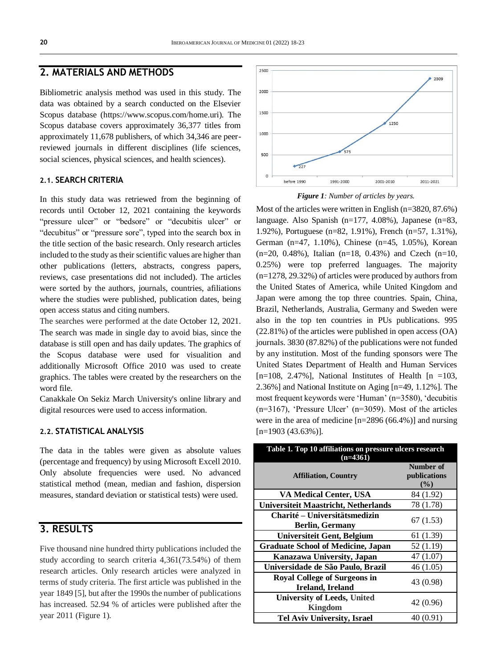## **2. MATERIALS AND METHODS**

Bibliometric analysis method was used in this study. The data was obtained by a search conducted on the Elsevier Scopus database (https://www.scopus.com/home.uri). The Scopus database covers approximately 36,377 titles from approximately 11,678 publishers, of which 34,346 are peerreviewed journals in different disciplines (life sciences, social sciences, physical sciences, and health sciences).

#### **2.1. SEARCH CRITERIA**

In this study data was retriewed from the beginning of records until October 12, 2021 containing the keywords "pressure ulcer" or "bedsore" or "decubitis ulcer" or "decubitus" or "pressure sore", typed into the search box in the title section of the basic research. Only research articles included to the study as their scientific values are higher than other publications (letters, abstracts, congress papers, reviews, case presentations did not included). The articles were sorted by the authors, journals, countries, afiliations where the studies were published, publication dates, being open access status and citing numbers.

The searches were performed at the date October 12, 2021. The search was made in single day to avoid bias, since the database is still open and has daily updates. The graphics of the Scopus database were used for visualition and additionally Microsoft Office 2010 was used to create graphics. The tables were created by the researchers on the word file.

Canakkale On Sekiz March University's online library and digital resources were used to access information.

#### **2.2. STATISTICAL ANALYSIS**

The data in the tables were given as absolute values (percentage and frequency) by using Microsoft Excell 2010. Only absolute frequencies were used. No advanced statistical method (mean, median and fashion, dispersion measures, standard deviation or statistical tests) were used.

## **3. RESULTS**

Five thousand nine hundred thirty publications included the study according to search criteria 4,361(73.54%) of them research articles. Only research articles were analyzed in terms of study criteria. The first article was published in the year 1849 [5], but after the 1990s the number of publications has increased. 52.94 % of articles were published after the year 2011 (Figure 1).



*Figure 1: Number of articles by years.*

Most of the articles were written in English (n=3820, 87.6%) language. Also Spanish (n=177, 4.08%), Japanese (n=83, 1.92%), Portuguese (n=82, 1.91%), French (n=57, 1.31%), German (n=47, 1.10%), Chinese (n=45, 1.05%), Korean  $(n=20, 0.48\%)$ , Italian  $(n=18, 0.43\%)$  and Czech  $(n=10, 0.48\%)$ 0.25%) were top preferred languages. The majority (n=1278, 29.32%) of articles were produced by authors from the United States of America, while United Kingdom and Japan were among the top three countries. Spain, China, Brazil, Netherlands, Australia, Germany and Sweden were also in the top ten countries in PUs publications. 995 (22.81%) of the articles were published in open access (OA) journals. 3830 (87.82%) of the publications were not funded by any institution. Most of the funding sponsors were The United States Department of Health and Human Services  $[n=108, 2.47\%]$ , National Institutes of Health  $[n = 103,$ 2.36%] and National Institute on Aging [n=49, 1.12%]. The most frequent keywords were 'Human' (n=3580), 'decubitis (n=3167), 'Pressure Ulcer' (n=3059). Most of the articles were in the area of medicine [n=2896 (66.4%)] and nursing  $[n=1903 (43.63\%)]$ .

| Table 1. Top 10 affiliations on pressure ulcers research<br>$(n=4361)$ |                                    |  |  |  |
|------------------------------------------------------------------------|------------------------------------|--|--|--|
| <b>Affiliation, Country</b>                                            | Number of<br>publications<br>(9/0) |  |  |  |
| VA Medical Center, USA                                                 | 84 (1.92)                          |  |  |  |
| <b>Universiteit Maastricht, Netherlands</b>                            | 78 (1.78)                          |  |  |  |
| Charité – Universitätsmedizin<br><b>Berlin, Germany</b>                | 67(1.53)                           |  |  |  |
| <b>Universiteit Gent, Belgium</b>                                      | 61 (1.39)                          |  |  |  |
| <b>Graduate School of Medicine, Japan</b>                              | 52 (1.19)                          |  |  |  |
| Kanazawa University, Japan                                             | 47 (1.07)                          |  |  |  |
| Universidade de São Paulo, Brazil                                      | 46 (1.05)                          |  |  |  |
| <b>Royal College of Surgeons in</b><br>Ireland, Ireland                | 43 (0.98)                          |  |  |  |
| <b>University of Leeds, United</b><br><b>Kingdom</b>                   | 42 (0.96)                          |  |  |  |
| <b>Tel Aviv University, Israel</b>                                     | 40 (0.91)                          |  |  |  |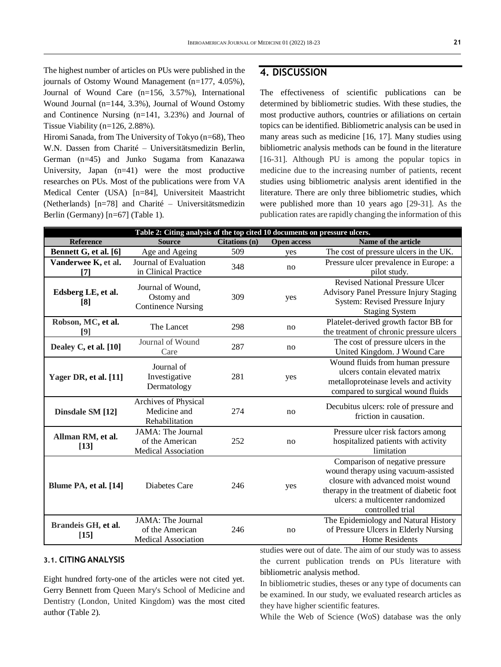The highest number of articles on PUs were published in the journals of Ostomy Wound Management (n=177, 4.05%), Journal of Wound Care (n=156, 3.57%), International Wound Journal (n=144, 3.3%), Journal of Wound Ostomy and Continence Nursing (n=141, 3.23%) and Journal of Tissue Viability (n=126, 2.88%).

Hiromi Sanada, from The University of Tokyo (n=68), Theo W.N. Dassen from Charité – Universitätsmedizin Berlin, German (n=45) and Junko Sugama from Kanazawa University, Japan (n=41) were the most productive researches on PUs. Most of the publications were from VA Medical Center (USA) [n=84], Universiteit Maastricht (Netherlands) [n=78] and Charité – Universitätsmedizin Berlin (Germany) [n=67] (Table 1).

## **4. DISCUSSION**

The effectiveness of scientific publications can be determined by bibliometric studies. With these studies, the most productive authors, countries or afiliations on certain topics can be identified. Bibliometric analysis can be used in many areas such as medicine [16, 17]. Many studies using bibliometric analysis methods can be found in the literature [16-31]. Although PU is among the popular topics in medicine due to the increasing number of patients, recent studies using bibliometric analysis arent identified in the literature. There are only three bibliometric studies, which were published more than 10 years ago [29-31]. As the publication rates are rapidly changing the information of this

| Table 2: Citing analysis of the top cited 10 documents on pressure ulcers. |                                                                    |               |                    |                                                                                                                                                                                                                  |  |  |
|----------------------------------------------------------------------------|--------------------------------------------------------------------|---------------|--------------------|------------------------------------------------------------------------------------------------------------------------------------------------------------------------------------------------------------------|--|--|
| <b>Reference</b>                                                           | <b>Source</b>                                                      | Citations (n) | <b>Open access</b> | Name of the article                                                                                                                                                                                              |  |  |
| Bennett G, et al. [6]                                                      | Age and Ageing                                                     | 509           | yes                | The cost of pressure ulcers in the UK.                                                                                                                                                                           |  |  |
| Vanderwee K, et al.                                                        | Journal of Evaluation                                              | 348<br>no     |                    | Pressure ulcer prevalence in Europe: a                                                                                                                                                                           |  |  |
| [7]                                                                        | in Clinical Practice                                               |               |                    | pilot study.                                                                                                                                                                                                     |  |  |
| Edsberg LE, et al.<br>[8]                                                  | Journal of Wound,<br>Ostomy and<br><b>Continence Nursing</b>       | 309           | yes                | <b>Revised National Pressure Ulcer</b><br><b>Advisory Panel Pressure Injury Staging</b><br>System: Revised Pressure Injury<br><b>Staging System</b>                                                              |  |  |
| Robson, MC, et al.<br>[9]                                                  | The Lancet                                                         | 298           | no                 | Platelet-derived growth factor BB for<br>the treatment of chronic pressure ulcers                                                                                                                                |  |  |
| Dealey C, et al. [10]                                                      | Journal of Wound<br>Care                                           | 287           | no                 | The cost of pressure ulcers in the<br>United Kingdom. J Wound Care                                                                                                                                               |  |  |
| Yager DR, et al. [11]                                                      | Journal of<br>Investigative<br>Dermatology                         | 281           | yes                | Wound fluids from human pressure<br>ulcers contain elevated matrix<br>metalloproteinase levels and activity<br>compared to surgical wound fluids                                                                 |  |  |
| Dinsdale SM [12]                                                           | Archives of Physical<br>Medicine and<br>Rehabilitation             | 274           | no                 | Decubitus ulcers: role of pressure and<br>friction in causation.                                                                                                                                                 |  |  |
| Allman RM, et al.<br>$[13]$                                                | JAMA: The Journal<br>of the American<br><b>Medical Association</b> | 252           | no                 | Pressure ulcer risk factors among<br>hospitalized patients with activity<br>limitation                                                                                                                           |  |  |
| Blume PA, et al. [14]                                                      | Diabetes Care                                                      | 246           | yes                | Comparison of negative pressure<br>wound therapy using vacuum-assisted<br>closure with advanced moist wound<br>therapy in the treatment of diabetic foot<br>ulcers: a multicenter randomized<br>controlled trial |  |  |
| Brandeis GH, et al.<br>$[15]$                                              | JAMA: The Journal<br>of the American<br><b>Medical Association</b> | 246           | no                 | The Epidemiology and Natural History<br>of Pressure Ulcers in Elderly Nursing<br><b>Home Residents</b>                                                                                                           |  |  |

#### **3.1. CITING ANALYSIS**

Eight hundred forty-one of the articles were not cited yet. Gerry Bennett from Queen Mary's School of Medicine and Dentistry (London, United Kingdom) was the most cited author (Table 2).

studies were out of date. The aim of our study was to assess the current publication trends on PUs literature with bibliometric analysis method.

In bibliometric studies, theses or any type of documents can be examined. In our study, we evaluated research articles as they have higher scientific features.

While the Web of Science (WoS) database was the only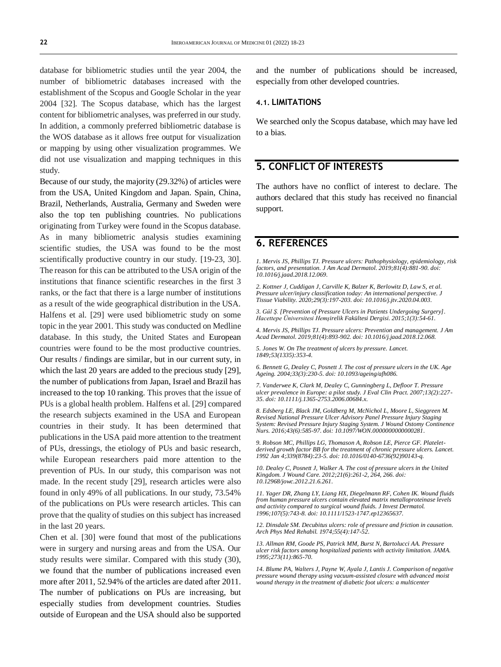database for bibliometric studies until the year 2004, the number of bibliometric databases increased with the establishment of the Scopus and Google Scholar in the year 2004 [32]. The Scopus database, which has the largest content for bibliometric analyses, was preferred in our study. In addition, a commonly preferred bibliometric database is the WOS database as it allows free output for visualization or mapping by using other visualization programmes. We did not use visualization and mapping techniques in this study.

Because of our study, the majority (29.32%) of articles were from the USA, United Kingdom and Japan. Spain, China, Brazil, Netherlands, Australia, Germany and Sweden were also the top ten publishing countries. No publications originating from Turkey were found in the Scopus database. As in many bibliometric analysis studies examining scientific studies, the USA was found to be the most scientifically productive country in our study. [19-23, 30]. The reason for this can be attributed to the USA origin of the institutions that finance scientific researches in the first 3 ranks, or the fact that there is a large number of institutions as a result of the wide geographical distribution in the USA. Halfens et al. [29] were used bibliometric study on some topic in the year 2001. This study was conducted on Medline database. In this study, the United States and European countries were found to be the most productive countries. Our results / findings are similar, but in our current suty, in which the last 20 years are added to the precious study [29], the number of publications from Japan, Israel and Brazil has increased to the top 10 ranking. This proves that the issue of PUs is a global health problem. Halfens et al. [29] compared the research subjects examined in the USA and European countries in their study. It has been determined that publications in the USA paid more attention to the treatment of PUs, dressings, the etiology of PUs and basic research, while European researchers paid more attention to the prevention of PUs. In our study, this comparison was not made. In the recent study [29], research articles were also found in only 49% of all publications. In our study, 73.54% of the publications on PUs were research articles. This can prove that the quality of studies on this subject has increased in the last 20 years.

Chen et al. [30] were found that most of the publications were in surgery and nursing areas and from the USA. Our study results were similar. Compared with this study (30), we found that the number of publications increased even more after 2011, 52.94% of the articles are dated after 2011. The number of publications on PUs are increasing, but especially studies from development countries. Studies outside of European and the USA should also be supported

and the number of publications should be increased, especially from other developed countries.

#### **4.1. LIMITATIONS**

We searched only the Scopus database, which may have led to a bias.

## **5. CONFLICT OF INTERESTS**

The authors have no conflict of interest to declare. The authors declared that this study has received no financial support.

#### **6. REFERENCES**

*1. Mervis JS, Phillips TJ. Pressure ulcers: Pathophysiology, epidemiology, risk factors, and presentation. J Am Acad Dermatol. 2019;81(4):881-90. doi: [10.1016/j.jaad.2018.12.069.](https://doi.org/10.1016/j.jaad.2018.12.069)*

*2. Kottner J, Cuddigan J, Carville K, Balzer K, Berlowitz D, Law S, et al. Pressure ulcer/injury classification today: An international perspective. J Tissue Viability. 2020;29(3):197-203. doi[: 10.1016/j.jtv.2020.04.003.](https://doi.org/10.1016/j.jtv.2020.04.003)*

*3. Gül Ş. [Prevention of Pressure Ulcers in Patients Undergoing Surgery]. Hacettepe Üniversitesi Hemşirelik Fakültesi Dergisi. 2015;1(3):54-61.*

*4. Mervis JS, Phillips TJ. Pressure ulcers: Prevention and management. J Am Acad Dermatol. 2019;81(4):893-902. doi[: 10.1016/j.jaad.2018.12.068.](https://doi.org/10.1016/j.jaad.2018.12.068)*

*5. Jones W. On The treatment of ulcers by pressure. Lancet. 1849;53(1335):353-4.*

*6. Bennett G, Dealey C, Posnett J. The cost of pressure ulcers in the UK. Age Ageing. 2004;33(3):230-5. doi[: 10.1093/ageing/afh086.](https://doi.org/10.1093/ageing/afh086)*

*7. Vanderwee K, Clark M, Dealey C, Gunningberg L, Defloor T. Pressure ulcer prevalence in Europe: a pilot study. J Eval Clin Pract. 2007;13(2):227- 35. doi[: 10.1111/j.1365-2753.2006.00684.x.](https://doi.org/10.1111/j.1365-2753.2006.00684.x)*

*8. Edsberg LE, Black JM, Goldberg M, McNichol L, Moore L, Sieggreen M. Revised National Pressure Ulcer Advisory Panel Pressure Injury Staging System: Revised Pressure Injury Staging System. J Wound Ostomy Continence Nurs. 2016;43(6):585-97. doi[: 10.1097/WON.0000000000000281.](https://doi.org/10.1097/won.0000000000000281)*

*9. Robson MC, Phillips LG, Thomason A, Robson LE, Pierce GF. Plateletderived growth factor BB for the treatment of chronic pressure ulcers. Lancet. 1992 Jan 4;339(8784):23-5. doi[: 10.1016/0140-6736\(92\)90143-q.](https://doi.org/10.1016/0140-6736(92)90143-q)*

*10. Dealey C, Posnett J, Walker A. The cost of pressure ulcers in the United Kingdom. J Wound Care. 2012;21(6):261-2, 264, 266. doi: [10.12968/jowc.2012.21.6.261.](https://doi.org/10.12968/jowc.2012.21.6.261)*

*11. Yager DR, Zhang LY, Liang HX, Diegelmann RF, Cohen IK. Wound fluids from human pressure ulcers contain elevated matrix metalloproteinase levels and activity compared to surgical wound fluids. J Invest Dermatol. 1996;107(5):743-8. doi[: 10.1111/1523-1747.ep12365637.](https://doi.org/10.1111/1523-1747.ep12365637)*

*12. Dinsdale SM. Decubitus ulcers: role of pressure and friction in causation. Arch Phys Med Rehabil. 1974;55(4):147-52.*

*13. Allman RM, Goode PS, Patrick MM, Burst N, Bartolucci AA. Pressure ulcer risk factors among hospitalized patients with activity limitation. JAMA. 1995;273(11):865-70.*

*14. Blume PA, Walters J, Payne W, Ayala J, Lantis J. Comparison of negative pressure wound therapy using vacuum-assisted closure with advanced moist wound therapy in the treatment of diabetic foot ulcers: a multicenter*